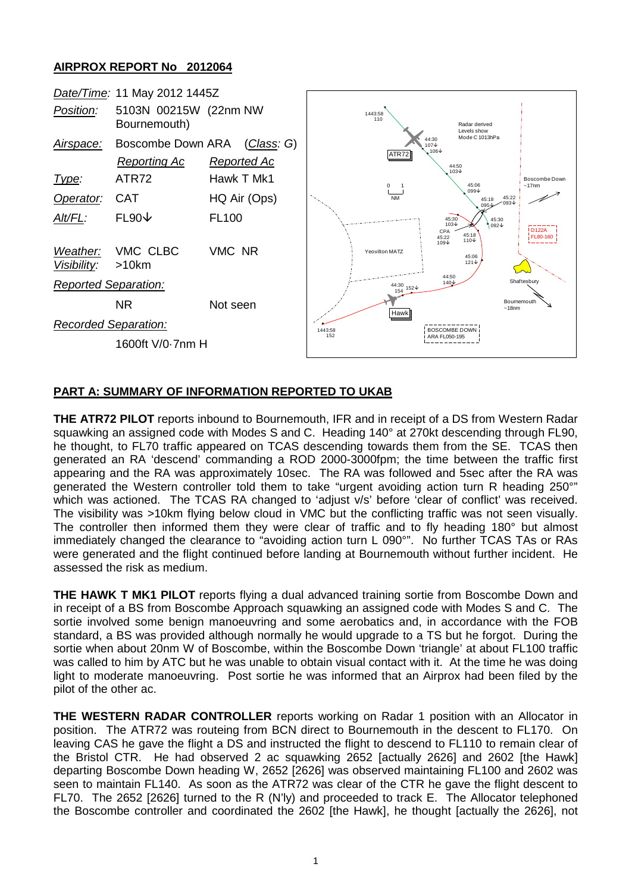## **AIRPROX REPORT No 2012064**

| Date/Time: 11 May 2012 1445Z |                                          |                                   |                                                                                                    |                          |
|------------------------------|------------------------------------------|-----------------------------------|----------------------------------------------------------------------------------------------------|--------------------------|
| Position:                    | 5103N 00215W (22nm NW<br>Bournemouth)    |                                   | 1443:58<br>110<br>Radar derived<br>Levels show                                                     |                          |
| Airspace:                    | Boscombe Down ARA<br><b>Reporting Ac</b> | <u>(Class</u> : G)<br>Reported Ac | Mode C 1013hPa<br>44:30<br>107↓<br>106↓<br>ATR72<br>44:50<br>$103\text{V}$                         |                          |
| Type:                        | ATR72                                    | Hawk T Mk1                        | 45:06<br>$^{\circ}$                                                                                | Boscombe Down<br>~17nm   |
| Operator:                    | <b>CAT</b>                               | HQ Air (Ops)                      | $099 +$<br><b>NM</b><br>45:22<br>45:18<br>$-093 +$<br>$095 +$                                      |                          |
| Alt/FL:                      | $FL90\downarrow$                         | <b>FL100</b>                      | 45:30<br>45:30<br>$103\text{V}$<br>$092\sqrt{ }$<br>CPA<br>45:18<br>45:22<br>$110\text{V}$<br>109↓ | <b>D122A</b><br>FL80-160 |
| Weather:<br>Visibility:      | VMC CLBC<br>$>10$ km                     | VMC NR                            | Yeovilton MATZ<br>45:06<br>$121\,\mathrm{\downarrow}$<br>44:50                                     |                          |
| <b>Reported Separation:</b>  |                                          |                                   | Shaftesburv<br>140↓<br>$44:30$ $152 +$                                                             |                          |
|                              | <b>NR</b>                                | Not seen                          | Bournemouth<br>$~18$ nm<br>Hawk                                                                    |                          |
| Recorded Separation:         |                                          |                                   | BOSCOMBE DOWN<br>1443:58                                                                           |                          |
| 1600ft V/0-7nm H             |                                          |                                   | 152<br>ARA FL050-195                                                                               |                          |

## **PART A: SUMMARY OF INFORMATION REPORTED TO UKAB**

**THE ATR72 PILOT** reports inbound to Bournemouth, IFR and in receipt of a DS from Western Radar squawking an assigned code with Modes S and C. Heading 140° at 270kt descending through FL90, he thought, to FL70 traffic appeared on TCAS descending towards them from the SE. TCAS then generated an RA 'descend' commanding a ROD 2000-3000fpm; the time between the traffic first appearing and the RA was approximately 10sec. The RA was followed and 5sec after the RA was generated the Western controller told them to take "urgent avoiding action turn R heading 250°" which was actioned. The TCAS RA changed to 'adjust v/s' before 'clear of conflict' was received. The visibility was >10km flying below cloud in VMC but the conflicting traffic was not seen visually. The controller then informed them they were clear of traffic and to fly heading 180° but almost immediately changed the clearance to "avoiding action turn L 090°". No further TCAS TAs or RAs were generated and the flight continued before landing at Bournemouth without further incident. He assessed the risk as medium.

**THE HAWK T MK1 PILOT** reports flying a dual advanced training sortie from Boscombe Down and in receipt of a BS from Boscombe Approach squawking an assigned code with Modes S and C. The sortie involved some benign manoeuvring and some aerobatics and, in accordance with the FOB standard, a BS was provided although normally he would upgrade to a TS but he forgot. During the sortie when about 20nm W of Boscombe, within the Boscombe Down 'triangle' at about FL100 traffic was called to him by ATC but he was unable to obtain visual contact with it. At the time he was doing light to moderate manoeuvring. Post sortie he was informed that an Airprox had been filed by the pilot of the other ac.

**THE WESTERN RADAR CONTROLLER** reports working on Radar 1 position with an Allocator in position. The ATR72 was routeing from BCN direct to Bournemouth in the descent to FL170. On leaving CAS he gave the flight a DS and instructed the flight to descend to FL110 to remain clear of the Bristol CTR. He had observed 2 ac squawking 2652 [actually 2626] and 2602 [the Hawk] departing Boscombe Down heading W, 2652 [2626] was observed maintaining FL100 and 2602 was seen to maintain FL140. As soon as the ATR72 was clear of the CTR he gave the flight descent to FL70. The 2652 [2626] turned to the R (N'ly) and proceeded to track E. The Allocator telephoned the Boscombe controller and coordinated the 2602 [the Hawk], he thought [actually the 2626], not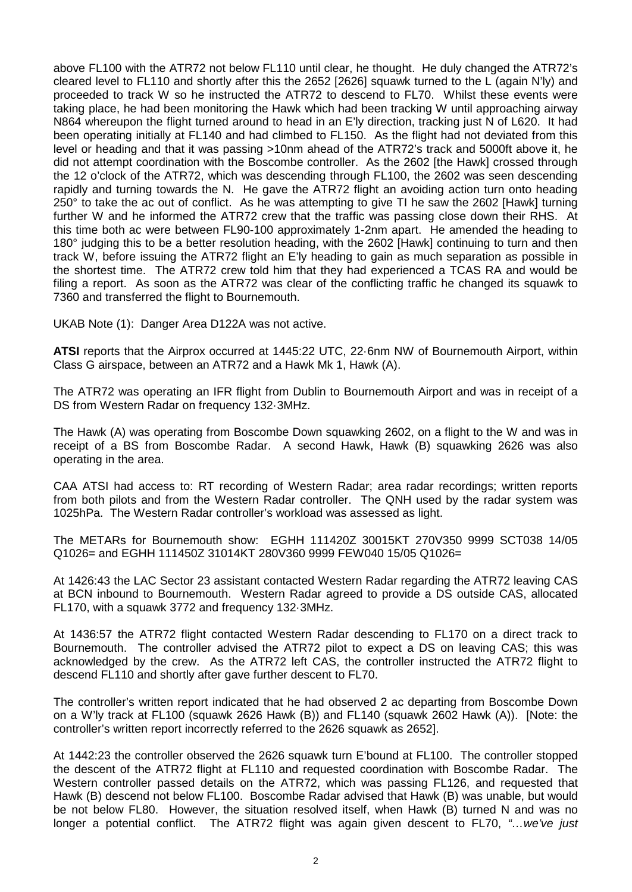above FL100 with the ATR72 not below FL110 until clear, he thought. He duly changed the ATR72's cleared level to FL110 and shortly after this the 2652 [2626] squawk turned to the L (again N'ly) and proceeded to track W so he instructed the ATR72 to descend to FL70. Whilst these events were taking place, he had been monitoring the Hawk which had been tracking W until approaching airway N864 whereupon the flight turned around to head in an E'ly direction, tracking just N of L620. It had been operating initially at FL140 and had climbed to FL150. As the flight had not deviated from this level or heading and that it was passing >10nm ahead of the ATR72's track and 5000ft above it, he did not attempt coordination with the Boscombe controller. As the 2602 [the Hawk] crossed through the 12 o'clock of the ATR72, which was descending through FL100, the 2602 was seen descending rapidly and turning towards the N. He gave the ATR72 flight an avoiding action turn onto heading 250° to take the ac out of conflict. As he was attempting to give TI he saw the 2602 [Hawk] turning further W and he informed the ATR72 crew that the traffic was passing close down their RHS. At this time both ac were between FL90-100 approximately 1-2nm apart. He amended the heading to 180° judging this to be a better resolution heading, with the 2602 [Hawk] continuing to turn and then track W, before issuing the ATR72 flight an E'ly heading to gain as much separation as possible in the shortest time. The ATR72 crew told him that they had experienced a TCAS RA and would be filing a report. As soon as the ATR72 was clear of the conflicting traffic he changed its squawk to 7360 and transferred the flight to Bournemouth.

UKAB Note (1): Danger Area D122A was not active.

**ATSI** reports that the Airprox occurred at 1445:22 UTC, 22·6nm NW of Bournemouth Airport, within Class G airspace, between an ATR72 and a Hawk Mk 1, Hawk (A).

The ATR72 was operating an IFR flight from Dublin to Bournemouth Airport and was in receipt of a DS from Western Radar on frequency 132·3MHz.

The Hawk (A) was operating from Boscombe Down squawking 2602, on a flight to the W and was in receipt of a BS from Boscombe Radar. A second Hawk, Hawk (B) squawking 2626 was also operating in the area.

CAA ATSI had access to: RT recording of Western Radar; area radar recordings; written reports from both pilots and from the Western Radar controller. The QNH used by the radar system was 1025hPa. The Western Radar controller's workload was assessed as light.

The METARs for Bournemouth show: EGHH 111420Z 30015KT 270V350 9999 SCT038 14/05 Q1026= and EGHH 111450Z 31014KT 280V360 9999 FEW040 15/05 Q1026=

At 1426:43 the LAC Sector 23 assistant contacted Western Radar regarding the ATR72 leaving CAS at BCN inbound to Bournemouth. Western Radar agreed to provide a DS outside CAS, allocated FL170, with a squawk 3772 and frequency 132·3MHz.

At 1436:57 the ATR72 flight contacted Western Radar descending to FL170 on a direct track to Bournemouth. The controller advised the ATR72 pilot to expect a DS on leaving CAS; this was acknowledged by the crew. As the ATR72 left CAS, the controller instructed the ATR72 flight to descend FL110 and shortly after gave further descent to FL70.

The controller's written report indicated that he had observed 2 ac departing from Boscombe Down on a W'ly track at FL100 (squawk 2626 Hawk (B)) and FL140 (squawk 2602 Hawk (A)). [Note: the controller's written report incorrectly referred to the 2626 squawk as 2652].

At 1442:23 the controller observed the 2626 squawk turn E'bound at FL100. The controller stopped the descent of the ATR72 flight at FL110 and requested coordination with Boscombe Radar. The Western controller passed details on the ATR72, which was passing FL126, and requested that Hawk (B) descend not below FL100. Boscombe Radar advised that Hawk (B) was unable, but would be not below FL80. However, the situation resolved itself, when Hawk (B) turned N and was no longer a potential conflict. The ATR72 flight was again given descent to FL70, *"…we've just*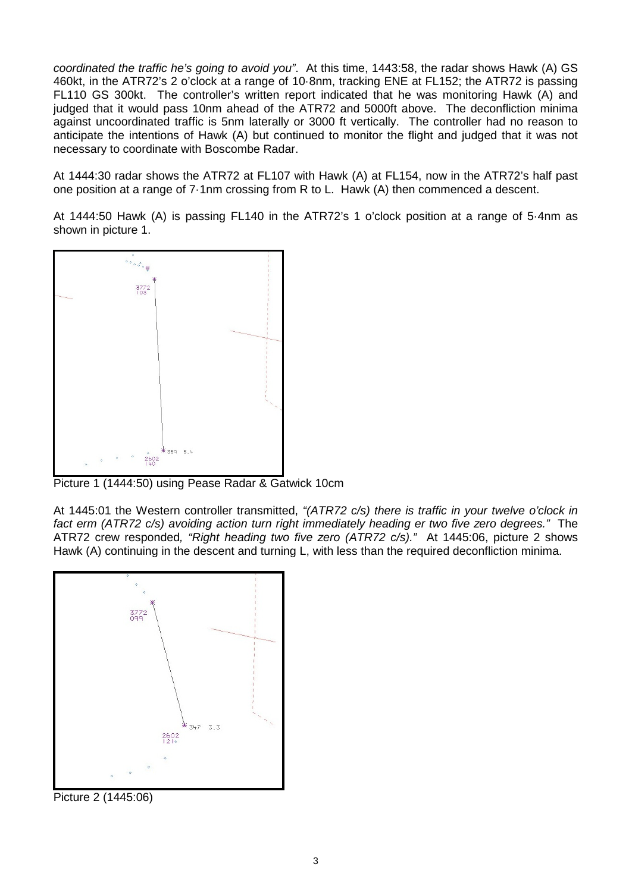*coordinated the traffic he's going to avoid you"*. At this time, 1443:58, the radar shows Hawk (A) GS 460kt, in the ATR72's 2 o'clock at a range of 10·8nm, tracking ENE at FL152; the ATR72 is passing FL110 GS 300kt. The controller's written report indicated that he was monitoring Hawk (A) and judged that it would pass 10nm ahead of the ATR72 and 5000ft above. The deconfliction minima against uncoordinated traffic is 5nm laterally or 3000 ft vertically. The controller had no reason to anticipate the intentions of Hawk (A) but continued to monitor the flight and judged that it was not necessary to coordinate with Boscombe Radar.

At 1444:30 radar shows the ATR72 at FL107 with Hawk (A) at FL154, now in the ATR72's half past one position at a range of 7·1nm crossing from R to L. Hawk (A) then commenced a descent.

At 1444:50 Hawk (A) is passing FL140 in the ATR72's 1 o'clock position at a range of 5·4nm as shown in picture 1.



Picture 1 (1444:50) using Pease Radar & Gatwick 10cm

At 1445:01 the Western controller transmitted, *"(ATR72 c/s) there is traffic in your twelve o'clock in fact erm (ATR72 c/s) avoiding action turn right immediately heading er two five zero degrees."* The ATR72 crew responded*, "Right heading two five zero (ATR72 c/s)."* At 1445:06, picture 2 shows Hawk (A) continuing in the descent and turning L, with less than the required deconfliction minima.



Picture 2 (1445:06)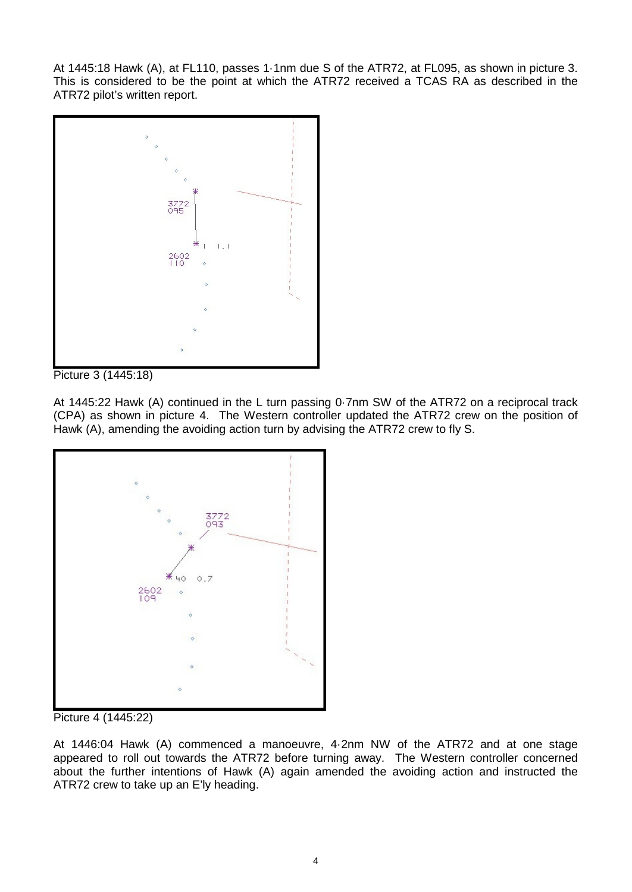At 1445:18 Hawk (A), at FL110, passes 1·1nm due S of the ATR72, at FL095, as shown in picture 3. This is considered to be the point at which the ATR72 received a TCAS RA as described in the ATR72 pilot's written report.



Picture 3 (1445:18)

At 1445:22 Hawk (A) continued in the L turn passing 0·7nm SW of the ATR72 on a reciprocal track (CPA) as shown in picture 4. The Western controller updated the ATR72 crew on the position of Hawk (A), amending the avoiding action turn by advising the ATR72 crew to fly S.



Picture 4 (1445:22)

At 1446:04 Hawk (A) commenced a manoeuvre, 4·2nm NW of the ATR72 and at one stage appeared to roll out towards the ATR72 before turning away. The Western controller concerned about the further intentions of Hawk (A) again amended the avoiding action and instructed the ATR72 crew to take up an E'ly heading.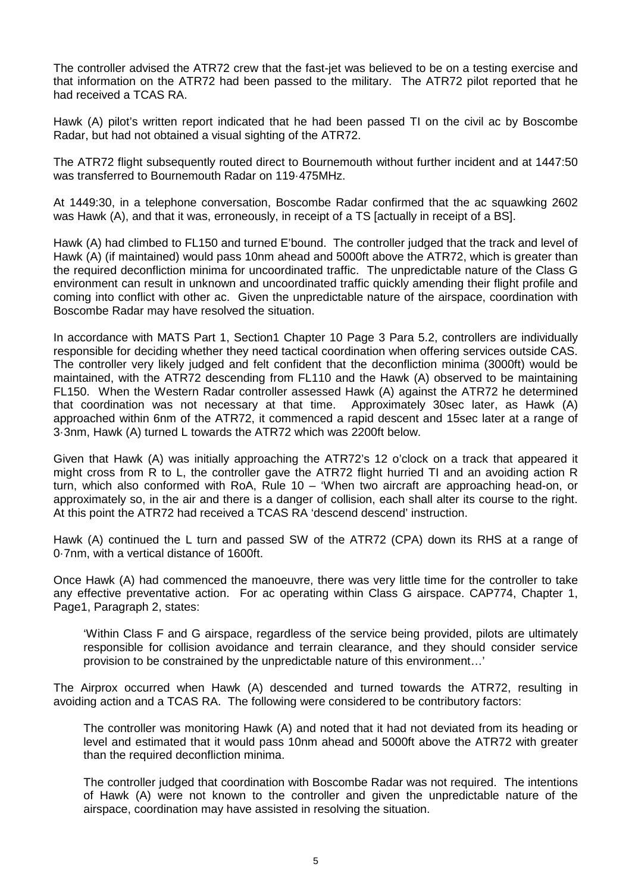The controller advised the ATR72 crew that the fast-jet was believed to be on a testing exercise and that information on the ATR72 had been passed to the military. The ATR72 pilot reported that he had received a TCAS RA.

Hawk (A) pilot's written report indicated that he had been passed TI on the civil ac by Boscombe Radar, but had not obtained a visual sighting of the ATR72.

The ATR72 flight subsequently routed direct to Bournemouth without further incident and at 1447:50 was transferred to Bournemouth Radar on 119·475MHz.

At 1449:30, in a telephone conversation, Boscombe Radar confirmed that the ac squawking 2602 was Hawk (A), and that it was, erroneously, in receipt of a TS [actually in receipt of a BS].

Hawk (A) had climbed to FL150 and turned E'bound. The controller judged that the track and level of Hawk (A) (if maintained) would pass 10nm ahead and 5000ft above the ATR72, which is greater than the required deconfliction minima for uncoordinated traffic. The unpredictable nature of the Class G environment can result in unknown and uncoordinated traffic quickly amending their flight profile and coming into conflict with other ac. Given the unpredictable nature of the airspace, coordination with Boscombe Radar may have resolved the situation.

In accordance with MATS Part 1, Section1 Chapter 10 Page 3 Para 5.2, controllers are individually responsible for deciding whether they need tactical coordination when offering services outside CAS. The controller very likely judged and felt confident that the deconfliction minima (3000ft) would be maintained, with the ATR72 descending from FL110 and the Hawk (A) observed to be maintaining FL150. When the Western Radar controller assessed Hawk (A) against the ATR72 he determined that coordination was not necessary at that time. Approximately 30sec later, as Hawk (A) approached within 6nm of the ATR72, it commenced a rapid descent and 15sec later at a range of 3·3nm, Hawk (A) turned L towards the ATR72 which was 2200ft below.

Given that Hawk (A) was initially approaching the ATR72's 12 o'clock on a track that appeared it might cross from R to L, the controller gave the ATR72 flight hurried TI and an avoiding action R turn, which also conformed with RoA, Rule 10 – 'When two aircraft are approaching head-on, or approximately so, in the air and there is a danger of collision, each shall alter its course to the right. At this point the ATR72 had received a TCAS RA 'descend descend' instruction.

Hawk (A) continued the L turn and passed SW of the ATR72 (CPA) down its RHS at a range of 0·7nm, with a vertical distance of 1600ft.

Once Hawk (A) had commenced the manoeuvre, there was very little time for the controller to take any effective preventative action. For ac operating within Class G airspace. CAP774, Chapter 1, Page1, Paragraph 2, states:

'Within Class F and G airspace, regardless of the service being provided, pilots are ultimately responsible for collision avoidance and terrain clearance, and they should consider service provision to be constrained by the unpredictable nature of this environment…'

The Airprox occurred when Hawk (A) descended and turned towards the ATR72, resulting in avoiding action and a TCAS RA. The following were considered to be contributory factors:

The controller was monitoring Hawk (A) and noted that it had not deviated from its heading or level and estimated that it would pass 10nm ahead and 5000ft above the ATR72 with greater than the required deconfliction minima.

The controller judged that coordination with Boscombe Radar was not required. The intentions of Hawk (A) were not known to the controller and given the unpredictable nature of the airspace, coordination may have assisted in resolving the situation.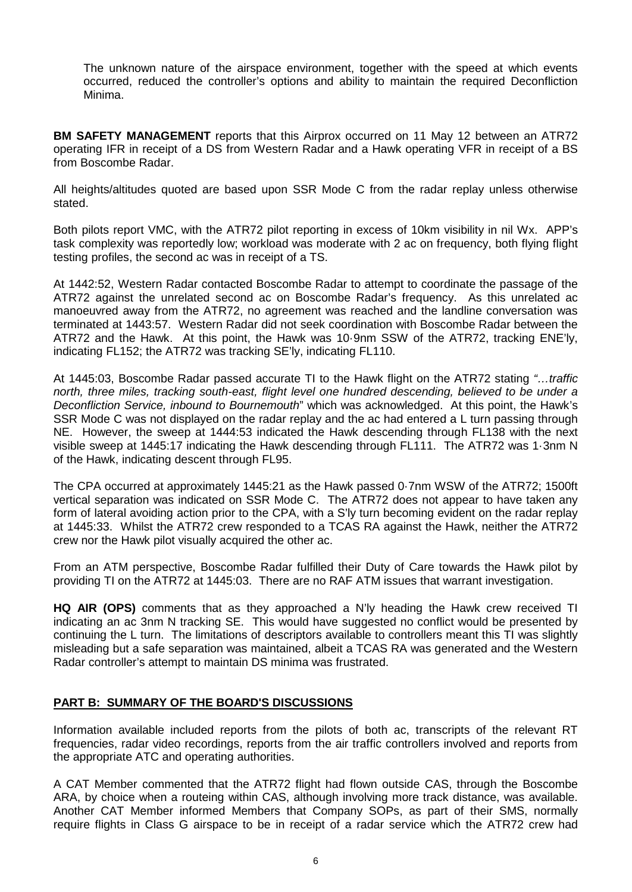The unknown nature of the airspace environment, together with the speed at which events occurred, reduced the controller's options and ability to maintain the required Deconfliction Minima.

**BM SAFETY MANAGEMENT** reports that this Airprox occurred on 11 May 12 between an ATR72 operating IFR in receipt of a DS from Western Radar and a Hawk operating VFR in receipt of a BS from Boscombe Radar.

All heights/altitudes quoted are based upon SSR Mode C from the radar replay unless otherwise stated.

Both pilots report VMC, with the ATR72 pilot reporting in excess of 10km visibility in nil Wx. APP's task complexity was reportedly low; workload was moderate with 2 ac on frequency, both flying flight testing profiles, the second ac was in receipt of a TS.

At 1442:52, Western Radar contacted Boscombe Radar to attempt to coordinate the passage of the ATR72 against the unrelated second ac on Boscombe Radar's frequency. As this unrelated ac manoeuvred away from the ATR72, no agreement was reached and the landline conversation was terminated at 1443:57. Western Radar did not seek coordination with Boscombe Radar between the ATR72 and the Hawk. At this point, the Hawk was 10·9nm SSW of the ATR72, tracking ENE'ly, indicating FL152; the ATR72 was tracking SE'ly, indicating FL110.

At 1445:03, Boscombe Radar passed accurate TI to the Hawk flight on the ATR72 stating *"…traffic north, three miles, tracking south-east, flight level one hundred descending, believed to be under a Deconfliction Service, inbound to Bournemouth*" which was acknowledged. At this point, the Hawk's SSR Mode C was not displayed on the radar replay and the ac had entered a L turn passing through NE. However, the sweep at 1444:53 indicated the Hawk descending through FL138 with the next visible sweep at 1445:17 indicating the Hawk descending through FL111. The ATR72 was 1·3nm N of the Hawk, indicating descent through FL95.

The CPA occurred at approximately 1445:21 as the Hawk passed 0·7nm WSW of the ATR72; 1500ft vertical separation was indicated on SSR Mode C. The ATR72 does not appear to have taken any form of lateral avoiding action prior to the CPA, with a S'ly turn becoming evident on the radar replay at 1445:33. Whilst the ATR72 crew responded to a TCAS RA against the Hawk, neither the ATR72 crew nor the Hawk pilot visually acquired the other ac.

From an ATM perspective, Boscombe Radar fulfilled their Duty of Care towards the Hawk pilot by providing TI on the ATR72 at 1445:03. There are no RAF ATM issues that warrant investigation.

**HQ AIR (OPS)** comments that as they approached a N'ly heading the Hawk crew received TI indicating an ac 3nm N tracking SE. This would have suggested no conflict would be presented by continuing the L turn. The limitations of descriptors available to controllers meant this TI was slightly misleading but a safe separation was maintained, albeit a TCAS RA was generated and the Western Radar controller's attempt to maintain DS minima was frustrated.

## **PART B: SUMMARY OF THE BOARD'S DISCUSSIONS**

Information available included reports from the pilots of both ac, transcripts of the relevant RT frequencies, radar video recordings, reports from the air traffic controllers involved and reports from the appropriate ATC and operating authorities.

A CAT Member commented that the ATR72 flight had flown outside CAS, through the Boscombe ARA, by choice when a routeing within CAS, although involving more track distance, was available. Another CAT Member informed Members that Company SOPs, as part of their SMS, normally require flights in Class G airspace to be in receipt of a radar service which the ATR72 crew had